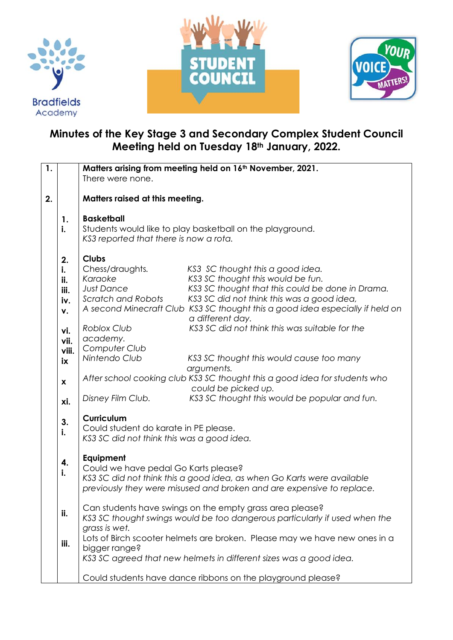





## **Minutes of the Key Stage 3 and Secondary Complex Student Council Meeting held on Tuesday 18th January, 2022.**

| $\mathbf{1}$ . |                           |                                                                            | Matters arising from meeting held on 16th November, 2021.                     |  |
|----------------|---------------------------|----------------------------------------------------------------------------|-------------------------------------------------------------------------------|--|
|                |                           | There were none.                                                           |                                                                               |  |
|                |                           |                                                                            |                                                                               |  |
| 2.             |                           | Matters raised at this meeting.                                            |                                                                               |  |
|                |                           |                                                                            |                                                                               |  |
|                | 1.                        | <b>Basketball</b>                                                          |                                                                               |  |
|                | i.                        | Students would like to play basketball on the playground.                  |                                                                               |  |
|                |                           | KS3 reported that there is now a rota.                                     |                                                                               |  |
|                |                           | <b>Clubs</b>                                                               |                                                                               |  |
|                | 2.                        | Chess/draughts.                                                            | KS3 SC thought this a good idea.                                              |  |
|                | i.                        | Karaoke                                                                    | KS3 SC thought this would be fun.                                             |  |
|                | ii.<br>iii.               | <b>Just Dance</b>                                                          | KS3 SC thought that this could be done in Drama.                              |  |
|                | iv.                       | Scratch and Robots                                                         | KS3 SC did not think this was a good idea,                                    |  |
|                | v.                        |                                                                            | A second Minecraft Club KS3 SC thought this a good idea especially if held on |  |
|                |                           |                                                                            | a different day.                                                              |  |
|                | vi.                       | <b>Roblox Club</b>                                                         | KS3 SC did not think this was suitable for the                                |  |
|                | vii.                      | academy.                                                                   |                                                                               |  |
|                | viii.                     | Computer Club                                                              |                                                                               |  |
|                | iх                        | Nintendo Club                                                              | KS3 SC thought this would cause too many                                      |  |
|                |                           |                                                                            | arguments.                                                                    |  |
|                | $\boldsymbol{\mathsf{x}}$ |                                                                            | After school cooking club KS3 SC thought this a good idea for students who    |  |
|                |                           |                                                                            | could be picked up.                                                           |  |
|                | xi.                       | Disney Film Club.                                                          | KS3 SC thought this would be popular and fun.                                 |  |
|                |                           | Curriculum                                                                 |                                                                               |  |
|                | 3.                        | Could student do karate in PE please.                                      |                                                                               |  |
|                | i.                        | KS3 SC did not think this was a good idea.                                 |                                                                               |  |
|                |                           |                                                                            |                                                                               |  |
|                |                           | Equipment<br>Could we have pedal Go Karts please?                          |                                                                               |  |
|                | 4.<br>i.                  |                                                                            |                                                                               |  |
|                |                           |                                                                            | KS3 SC did not think this a good idea, as when Go Karts were available        |  |
|                |                           | previously they were misused and broken and are expensive to replace.      |                                                                               |  |
|                |                           |                                                                            |                                                                               |  |
|                | ii.                       | Can students have swings on the empty grass area please?                   |                                                                               |  |
|                |                           | KS3 SC thought swings would be too dangerous particularly if used when the |                                                                               |  |
|                |                           | grass is wet.                                                              |                                                                               |  |
|                | iii.                      | Lots of Birch scooter helmets are broken. Please may we have new ones in a |                                                                               |  |
|                |                           | bigger range?                                                              | KS3 SC agreed that new helmets in different sizes was a good idea.            |  |
|                |                           |                                                                            |                                                                               |  |
|                |                           | Could students have dance ribbons on the playground please?                |                                                                               |  |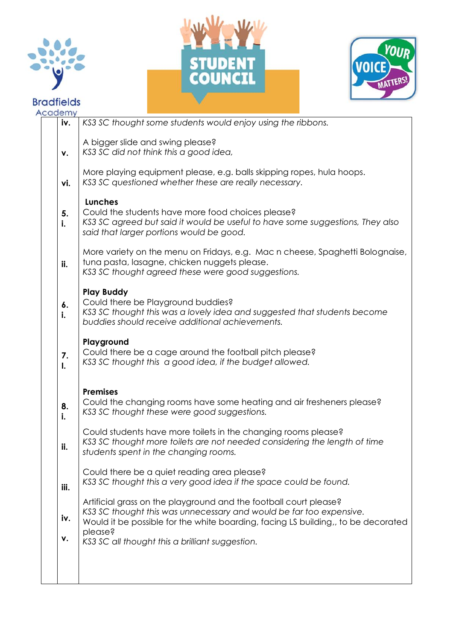





| Academy              |                                                                                                                                                                                                                                          |  |
|----------------------|------------------------------------------------------------------------------------------------------------------------------------------------------------------------------------------------------------------------------------------|--|
| iv.                  | KS3 SC thought some students would enjoy using the ribbons.                                                                                                                                                                              |  |
| ٧.                   | A bigger slide and swing please?<br>KS3 SC did not think this a good idea,                                                                                                                                                               |  |
| vi.                  | More playing equipment please, e.g. balls skipping ropes, hula hoops.<br>KS3 SC questioned whether these are really necessary.                                                                                                           |  |
| 5.<br>i.             | <b>Lunches</b><br>Could the students have more food choices please?<br>KS3 SC agreed but said it would be useful to have some suggestions, They also<br>said that larger portions would be good.                                         |  |
| ii.                  | More variety on the menu on Fridays, e.g. Mac n cheese, Spaghetti Bolognaise,<br>tuna pasta, lasagne, chicken nuggets please.<br>KS3 SC thought agreed these were good suggestions.                                                      |  |
| 6.<br>i.             | <b>Play Buddy</b><br>Could there be Playground buddies?<br>KS3 SC thought this was a lovely idea and suggested that students become<br>buddies should receive additional achievements.                                                   |  |
| 7.<br>$\mathbf{I}$ . | Playground<br>Could there be a cage around the football pitch please?<br>KS3 SC thought this a good idea, if the budget allowed.                                                                                                         |  |
| 8.<br>i.             | <b>Premises</b><br>Could the changing rooms have some heating and air fresheners please?<br>KS3 SC thought these were good suggestions.                                                                                                  |  |
| ii.                  | Could students have more toilets in the changing rooms please?<br>KS3 SC thought more toilets are not needed considering the length of time<br>students spent in the changing rooms.                                                     |  |
| iii.                 | Could there be a quiet reading area please?<br>KS3 SC thought this a very good idea if the space could be found.                                                                                                                         |  |
| iv.                  | Artificial grass on the playground and the football court please?<br>KS3 SC thought this was unnecessary and would be far too expensive.<br>Would it be possible for the white boarding, facing LS building,, to be decorated<br>please? |  |
| ۷.                   | KS3 SC all thought this a brilliant suggestion.                                                                                                                                                                                          |  |
|                      |                                                                                                                                                                                                                                          |  |